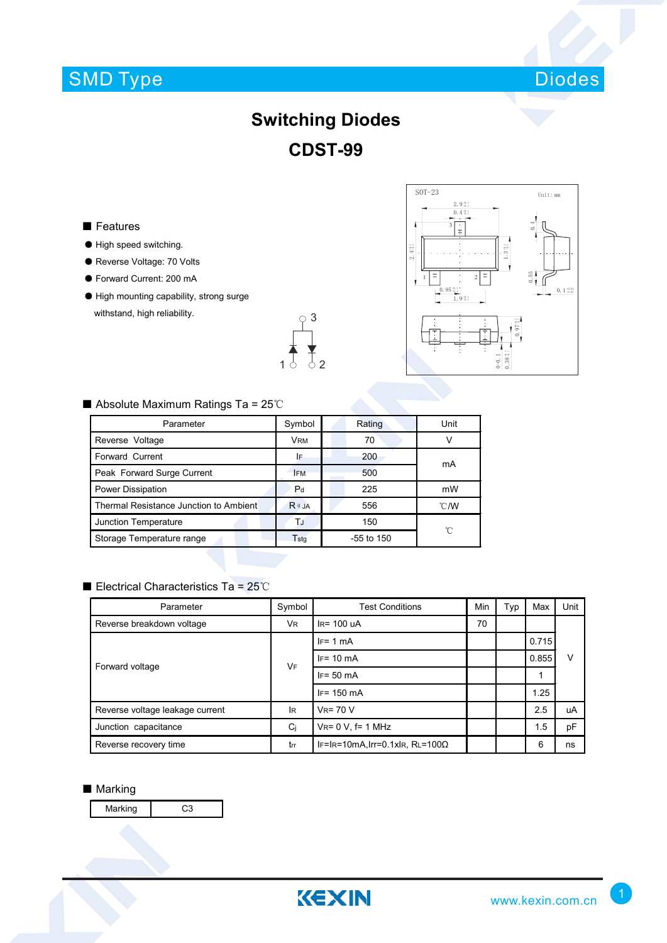# SMD Type



# **Switching Diodes CDST-99**

### ■ Features

- High speed switching.
- Reverse Voltage: 70 Volts
- Forward Current: 200 mA
- High mounting capability, strong surge withstand, high reliability.





### ■ Absolute Maximum Ratings Ta = 25℃

| Parameter                              | Symbol                      | Rating       | Unit           |  |
|----------------------------------------|-----------------------------|--------------|----------------|--|
| Reverse Voltage                        | <b>VRM</b>                  | 70           |                |  |
| Forward Current                        | I۴                          | 200          | mA             |  |
| Peak Forward Surge Current             | <b>IFM</b>                  | 500          |                |  |
| Power Dissipation                      | P <sub>d</sub>              | 225          | mW             |  |
| Thermal Resistance Junction to Ambient | $R \theta$ JA               | 556          | $^{\circ}$ C/W |  |
| Junction Temperature                   | TJ                          | 150          | °C             |  |
| Storage Temperature range              | $\mathsf{T}_{\mathsf{std}}$ | $-55$ to 150 |                |  |

### ■ Electrical Characteristics Ta = 25℃

| Parameter                       | Symbol    | <b>Test Conditions</b>                  | Min | Typ | Max   | Unit |
|---------------------------------|-----------|-----------------------------------------|-----|-----|-------|------|
| Reverse breakdown voltage       | <b>VR</b> | $IR = 100$ uA                           |     |     |       |      |
| Forward voltage                 | <b>VF</b> | $IF = 1 mA$                             |     |     | 0.715 | ν    |
|                                 |           | $IF = 10 \text{ mA}$                    |     |     | 0.855 |      |
|                                 |           | $IF = 50 mA$                            |     |     |       |      |
|                                 |           | $IF = 150$ mA                           |     |     | 1.25  |      |
| Reverse voltage leakage current | lR.       | $V_R = 70 V$                            |     |     | 2.5   | uA   |
| Junction capacitance            | Ci        | $V_{R} = 0 V$ , f= 1 MHz                |     |     | 1.5   | pF   |
| Reverse recovery time           | trr       | IF=IR=10mA, Irr=0.1xIR, RL=100 $\Omega$ |     |     | 6     | ns   |

#### ■ Marking

Marking | C3